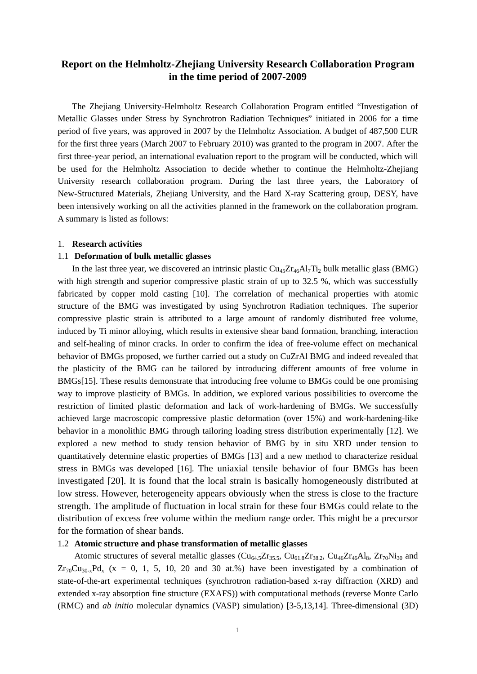# **Report on the Helmholtz-Zhejiang University Research Collaboration Program in the time period of 2007-2009**

The Zhejiang University-Helmholtz Research Collaboration Program entitled "Investigation of Metallic Glasses under Stress by Synchrotron Radiation Techniques" initiated in 2006 for a time period of five years, was approved in 2007 by the Helmholtz Association. A budget of 487,500 EUR for the first three years (March 2007 to February 2010) was granted to the program in 2007. After the first three-year period, an international evaluation report to the program will be conducted, which will be used for the Helmholtz Association to decide whether to continue the Helmholtz-Zhejiang University research collaboration program. During the last three years, the Laboratory of New-Structured Materials, Zhejiang University, and the Hard X-ray Scattering group, DESY, have been intensively working on all the activities planned in the framework on the collaboration program. A summary is listed as follows:

### 1. **Research activities**

### 1.1 **Deformation of bulk metallic glasses**

In the last three year, we discovered an intrinsic plastic  $Cu_{45}Zr_{46}Al_{7}Ti_{2}$  bulk metallic glass (BMG) with high strength and superior compressive plastic strain of up to 32.5 %, which was successfully fabricated by copper mold casting [10]. The correlation of mechanical properties with atomic structure of the BMG was investigated by using Synchrotron Radiation techniques. The superior compressive plastic strain is attributed to a large amount of randomly distributed free volume, induced by Ti minor alloying, which results in extensive shear band formation, branching, interaction and self-healing of minor cracks. In order to confirm the idea of free-volume effect on mechanical behavior of BMGs proposed, we further carried out a study on CuZrAl BMG and indeed revealed that the plasticity of the BMG can be tailored by introducing different amounts of free volume in BMGs[15]. These results demonstrate that introducing free volume to BMGs could be one promising way to improve plasticity of BMGs. In addition, we explored various possibilities to overcome the restriction of limited plastic deformation and lack of work-hardening of BMGs. We successfully achieved large macroscopic compressive plastic deformation (over 15%) and work-hardening-like behavior in a monolithic BMG through tailoring loading stress distribution experimentally [12]. We explored a new method to study tension behavior of BMG by in situ XRD under tension to quantitatively determine elastic properties of BMGs [13] and a new method to characterize residual stress in BMGs was developed [16]. The uniaxial tensile behavior of four BMGs has been investigated [20]. It is found that the local strain is basically homogeneously distributed at low stress. However, heterogeneity appears obviously when the stress is close to the fracture strength. The amplitude of fluctuation in local strain for these four BMGs could relate to the distribution of excess free volume within the medium range order. This might be a precursor for the formation of shear bands.

### 1.2 **Atomic structure and phase transformation of metallic glasses**

Atomic structures of several metallic glasses ( $Cu_{64.5}Zr_{35.5}$ ,  $Cu_{61.8}Zr_{38.2}$ ,  $Cu_{46}Zr_{46}Al_8$ ,  $Zr_{70}Ni_{30}$  and  $Zr_{70}Cu_{30-x}Pd_{x}$  (x = 0, 1, 5, 10, 20 and 30 at.%) have been investigated by a combination of state-of-the-art experimental techniques (synchrotron radiation-based x-ray diffraction (XRD) and extended x-ray absorption fine structure (EXAFS)) with computational methods (reverse Monte Carlo (RMC) and *ab initio* molecular dynamics (VASP) simulation) [3-5,13,14]. Three-dimensional (3D)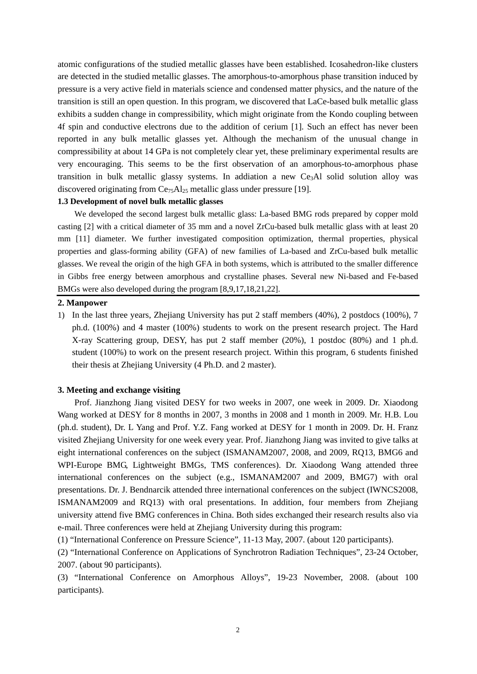atomic configurations of the studied metallic glasses have been established. Icosahedron-like clusters are detected in the studied metallic glasses. The amorphous-to-amorphous phase transition induced by pressure is a very active field in materials science and condensed matter physics, and the nature of the transition is still an open question. In this program, we discovered that LaCe-based bulk metallic glass exhibits a sudden change in compressibility, which might originate from the Kondo coupling between 4f spin and conductive electrons due to the addition of cerium [1]. Such an effect has never been reported in any bulk metallic glasses yet. Although the mechanism of the unusual change in compressibility at about 14 GPa is not completely clear yet, these preliminary experimental results are very encouraging. This seems to be the first observation of an amorphous-to-amorphous phase transition in bulk metallic glassy systems. In addiation a new  $Ce<sub>3</sub>Al$  solid solution alloy was discovered originating from Ce<sub>75</sub>Al<sub>25</sub> metallic glass under pressure [19].

### **1.3 Development of novel bulk metallic glasses**

We developed the second largest bulk metallic glass: La-based BMG rods prepared by copper mold casting [2] with a critical diameter of 35 mm and a novel ZrCu-based bulk metallic glass with at least 20 mm [11] diameter. We further investigated composition optimization, thermal properties, physical properties and glass-forming ability (GFA) of new families of La-based and ZrCu-based bulk metallic glasses. We reveal the origin of the high GFA in both systems, which is attributed to the smaller difference in Gibbs free energy between amorphous and crystalline phases. Several new Ni-based and Fe-based BMGs were also developed during the program [8,9,17,18,21,22].

#### **2. Manpower**

1) In the last three years, Zhejiang University has put 2 staff members (40%), 2 postdocs (100%), 7 ph.d. (100%) and 4 master (100%) students to work on the present research project. The Hard X-ray Scattering group, DESY, has put 2 staff member (20%), 1 postdoc (80%) and 1 ph.d. student (100%) to work on the present research project. Within this program, 6 students finished their thesis at Zhejiang University (4 Ph.D. and 2 master).

#### **3. Meeting and exchange visiting**

Prof. Jianzhong Jiang visited DESY for two weeks in 2007, one week in 2009. Dr. Xiaodong Wang worked at DESY for 8 months in 2007, 3 months in 2008 and 1 month in 2009. Mr. H.B. Lou (ph.d. student), Dr. L Yang and Prof. Y.Z. Fang worked at DESY for 1 month in 2009. Dr. H. Franz visited Zhejiang University for one week every year. Prof. Jianzhong Jiang was invited to give talks at eight international conferences on the subject (ISMANAM2007, 2008, and 2009, RQ13, BMG6 and WPI-Europe BMG, Lightweight BMGs, TMS conferences). Dr. Xiaodong Wang attended three international conferences on the subject (e.g., ISMANAM2007 and 2009, BMG7) with oral presentations. Dr. J. Bendnarcik attended three international conferences on the subject (IWNCS2008, ISMANAM2009 and RQ13) with oral presentations. In addition, four members from Zhejiang university attend five BMG conferences in China. Both sides exchanged their research results also via e-mail. Three conferences were held at Zhejiang University during this program:

(1) "International Conference on Pressure Science", 11-13 May, 2007. (about 120 participants).

(2) "International Conference on Applications of Synchrotron Radiation Techniques", 23-24 October, 2007. (about 90 participants).

(3) "International Conference on Amorphous Alloys", 19-23 November, 2008. (about 100 participants).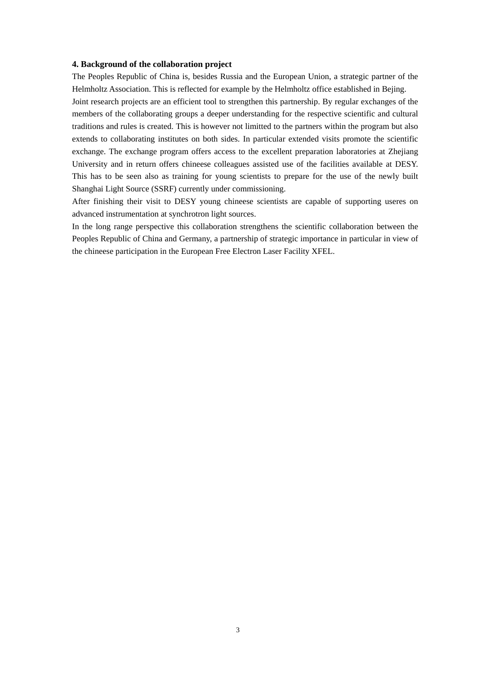#### **4. Background of the collaboration project**

The Peoples Republic of China is, besides Russia and the European Union, a strategic partner of the Helmholtz Association. This is reflected for example by the Helmholtz office established in Bejing. Joint research projects are an efficient tool to strengthen this partnership. By regular exchanges of the members of the collaborating groups a deeper understanding for the respective scientific and cultural traditions and rules is created. This is however not limitted to the partners within the program but also extends to collaborating institutes on both sides. In particular extended visits promote the scientific exchange. The exchange program offers access to the excellent preparation laboratories at Zhejiang University and in return offers chineese colleagues assisted use of the facilities available at DESY. This has to be seen also as training for young scientists to prepare for the use of the newly built Shanghai Light Source (SSRF) currently under commissioning.

After finishing their visit to DESY young chineese scientists are capable of supporting useres on advanced instrumentation at synchrotron light sources.

In the long range perspective this collaboration strengthens the scientific collaboration between the Peoples Republic of China and Germany, a partnership of strategic importance in particular in view of the chineese participation in the European Free Electron Laser Facility XFEL.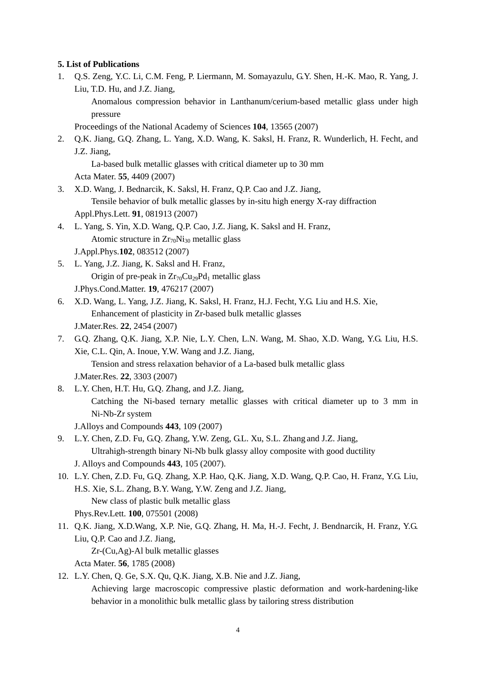### **5. List of Publications**

1. Q.S. Zeng, Y.C. Li, C.M. Feng, P. Liermann, M. Somayazulu, G.Y. Shen, H.-K. Mao, R. Yang, J. Liu, T.D. Hu, and J.Z. Jiang,

Anomalous compression behavior in Lanthanum/cerium-based metallic glass under high pressure

Proceedings of the National Academy of Sciences **104**, 13565 (2007)

2. Q.K. Jiang, G.Q. Zhang, L. Yang, X.D. Wang, K. Saksl, H. Franz, R. Wunderlich, H. Fecht, and J.Z. Jiang,

La-based bulk metallic glasses with critical diameter up to 30 mm Acta Mater. **55**, 4409 (2007)

- 3. X.D. Wang, J. Bednarcik, K. Saksl, H. Franz, Q.P. Cao and J.Z. Jiang, Tensile behavior of bulk metallic glasses by in-situ high energy X-ray diffraction Appl.Phys.Lett. **91**, 081913 (2007)
- 4. L. Yang, S. Yin, X.D. Wang, Q.P. Cao, J.Z. Jiang, K. Saksl and H. Franz, Atomic structure in  $Zr_{70}Ni_{30}$  metallic glass J.Appl.Phys.**102**, 083512 (2007)
- 5. L. Yang, J.Z. Jiang, K. Saksl and H. Franz, Origin of pre-peak in  $Zr_{70}Cu_{29}Pd_1$  metallic glass J.Phys.Cond.Matter. **19**, 476217 (2007)
- 6. X.D. Wang, L. Yang, J.Z. Jiang, K. Saksl, H. Franz, H.J. Fecht, Y.G. Liu and H.S. Xie, Enhancement of plasticity in Zr-based bulk metallic glasses J.Mater.Res. **22**, 2454 (2007)
- 7. G.Q. Zhang, Q.K. Jiang, X.P. Nie, L.Y. Chen, L.N. Wang, M. Shao, X.D. Wang, Y.G. Liu, H.S. Xie, C.L. Qin, A. Inoue, Y.W. Wang and J.Z. Jiang, Tension and stress relaxation behavior of a La-based bulk metallic glass J.Mater.Res. **22**, 3303 (2007)
- 8. L.Y. Chen, H.T. Hu, G.Q. Zhang, and J.Z. Jiang, Catching the Ni-based ternary metallic glasses with critical diameter up to 3 mm in Ni-Nb-Zr system
	- J.Alloys and Compounds **443**, 109 (2007)
- 9. L.Y. Chen, Z.D. Fu, G.Q. Zhang, Y.W. Zeng, G.L. Xu, S.L. Zhang and J.Z. Jiang, Ultrahigh-strength binary Ni-Nb bulk glassy alloy composite with good ductility J. Alloys and Compounds **443**, 105 (2007).
- 10. L.Y. Chen, Z.D. Fu, G.Q. Zhang, X.P. Hao, Q.K. Jiang, X.D. Wang, Q.P. Cao, H. Franz, Y.G. Liu, H.S. Xie, S.L. Zhang, B.Y. Wang, Y.W. Zeng and J.Z. Jiang,

New class of plastic bulk metallic glass

- Phys.Rev.Lett. **100**, 075501 (2008)
- 11. Q.K. Jiang, X.D.Wang, X.P. Nie, G.Q. Zhang, H. Ma, H.-J. Fecht, J. Bendnarcik, H. Franz, Y.G. Liu, Q.P. Cao and J.Z. Jiang,

Zr-(Cu,Ag)-Al bulk metallic glasses

Acta Mater. **56**, 1785 (2008)

12. L.Y. Chen, Q. Ge, S.X. Qu, Q.K. Jiang, X.B. Nie and J.Z. Jiang, Achieving large macroscopic compressive plastic deformation and work-hardening-like behavior in a monolithic bulk metallic glass by tailoring stress distribution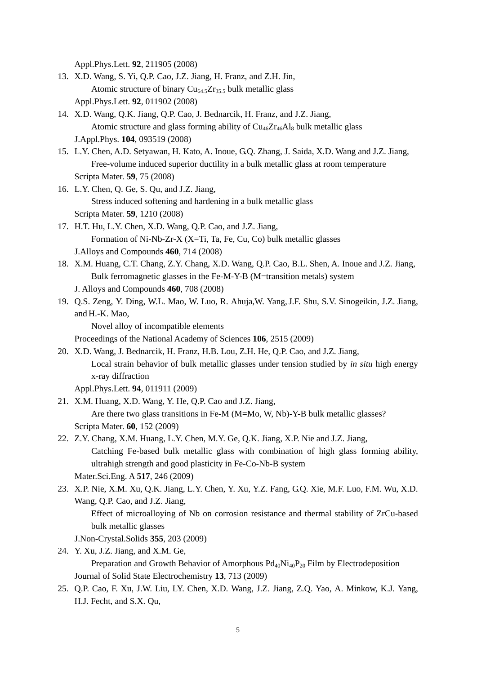Appl.Phys.Lett. **92**, 211905 (2008)

- 13. X.D. Wang, S. Yi, Q.P. Cao, J.Z. Jiang, H. Franz, and Z.H. Jin, Atomic structure of binary  $Cu_{64,5}Zr_{35,5}$  bulk metallic glass Appl.Phys.Lett. **92**, 011902 (2008)
- 14. X.D. Wang, Q.K. Jiang, Q.P. Cao, J. Bednarcik, H. Franz, and J.Z. Jiang, Atomic structure and glass forming ability of  $Cu_{46}Zr_{46}Al_{8}$  bulk metallic glass J.Appl.Phys. **104**, 093519 (2008)
- 15. L.Y. Chen, A.D. Setyawan, H. Kato, A. Inoue, G.Q. Zhang, J. Saida, X.D. Wang and J.Z. Jiang, Free-volume induced superior ductility in a bulk metallic glass at room temperature Scripta Mater. **59**, 75 (2008)
- 16. L.Y. Chen, Q. Ge, S. Qu, and J.Z. Jiang, Stress induced softening and hardening in a bulk metallic glass Scripta Mater. **59**, 1210 (2008)
- 17. H.T. Hu, L.Y. Chen, X.D. Wang, Q.P. Cao, and J.Z. Jiang, Formation of Ni-Nb-Zr-X (X=Ti, Ta, Fe, Cu, Co) bulk metallic glasses J.Alloys and Compounds **460**, 714 (2008)
- 18. X.M. Huang, C.T. Chang, Z.Y. Chang, X.D. Wang, Q.P. Cao, B.L. Shen, A. Inoue and J.Z. Jiang, Bulk ferromagnetic glasses in the Fe-M-Y-B (M=transition metals) system J. Alloys and Compounds **460**, 708 (2008)
- 19. Q.S. Zeng, Y. Ding, W.L. Mao, W. Luo, R. Ahuja,W. Yang,J.F. Shu, S.V. Sinogeikin, J.Z. Jiang, and H.-K. Mao,

Novel alloy of incompatible elements

Proceedings of the National Academy of Sciences **106**, 2515 (2009)

20. X.D. Wang, J. Bednarcik, H. Franz, H.B. Lou, Z.H. He, Q.P. Cao, and J.Z. Jiang, Local strain behavior of bulk metallic glasses under tension studied by *in situ* high energy x-ray diffraction

Appl.Phys.Lett. **94**, 011911 (2009)

- 21. X.M. Huang, X.D. Wang, Y. He, Q.P. Cao and J.Z. Jiang, Are there two glass transitions in Fe-M (M=Mo, W, Nb)-Y-B bulk metallic glasses? Scripta Mater. **60**, 152 (2009)
- 22. Z.Y. Chang, X.M. Huang, L.Y. Chen, M.Y. Ge, Q.K. Jiang, X.P. Nie and J.Z. Jiang, Catching Fe-based bulk metallic glass with combination of high glass forming ability, ultrahigh strength and good plasticity in Fe-Co-Nb-B system Mater.Sci.Eng. A **517**, 246 (2009)
- 23. X.P. Nie, X.M. Xu, Q.K. Jiang, L.Y. Chen, Y. Xu, Y.Z. Fang, G.Q. Xie, M.F. Luo, F.M. Wu, X.D. Wang, Q.P. Cao, and J.Z. Jiang, Effect of microalloying of Nb on corrosion resistance and thermal stability of ZrCu-based bulk metallic glasses

J.Non-Crystal.Solids **355**, 203 (2009)

- 24. Y. Xu, J.Z. Jiang, and X.M. Ge, Preparation and Growth Behavior of Amorphous  $Pd_{40}Ni_{40}P_{20}$  Film by Electrodeposition Journal of Solid State Electrochemistry **13**, 713 (2009)
- 25. Q.P. Cao, F. Xu, J.W. Liu, LY. Chen, X.D. Wang, J.Z. Jiang, Z.Q. Yao, A. Minkow, K.J. Yang, H.J. Fecht, and S.X. Qu,